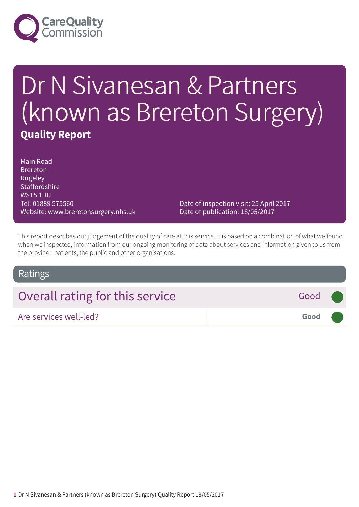

# Dr N Sivanesan & Partners (known as Brereton Surgery) **Quality Report**

Main Road Brereton Rugeley **Staffordshire** WS15 1DU Tel: 01889 575560 Website: www.breretonsurgery.nhs.uk

Date of inspection visit: 25 April 2017 Date of publication: 18/05/2017

This report describes our judgement of the quality of care at this service. It is based on a combination of what we found when we inspected, information from our ongoing monitoring of data about services and information given to us from the provider, patients, the public and other organisations.

### Ratings

| Overall rating for this service | Good (               |  |
|---------------------------------|----------------------|--|
| Are services well-led?          | Good <b>Contract</b> |  |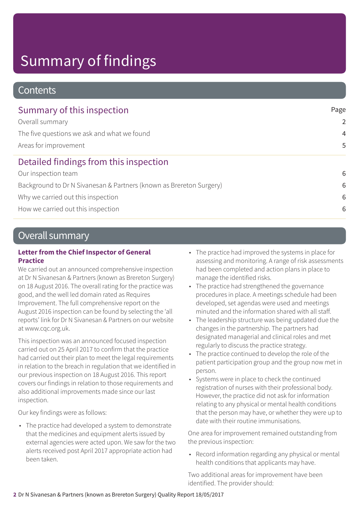# Summary of findings

### **Contents**

| Summary of this inspection                                          | Page           |  |
|---------------------------------------------------------------------|----------------|--|
| Overall summary                                                     | $\overline{2}$ |  |
| The five questions we ask and what we found                         | $\overline{4}$ |  |
| Areas for improvement                                               | 5              |  |
| Detailed findings from this inspection                              |                |  |
| Our inspection team                                                 | 6              |  |
| Background to Dr N Sivanesan & Partners (known as Brereton Surgery) | 6              |  |
| Why we carried out this inspection                                  | 6              |  |
| How we carried out this inspection                                  | 6              |  |

### Overall summary

#### **Letter from the Chief Inspector of General Practice**

We carried out an announced comprehensive inspection at Dr N Sivanesan & Partners (known as Brereton Surgery) on 18 August 2016. The overall rating for the practice was good, and the well led domain rated as Requires Improvement. The full comprehensive report on the August 2016 inspection can be found by selecting the 'all reports' link for Dr N Sivanesan & Partners on our website at www.cqc.org.uk.

This inspection was an announced focused inspection carried out on 25 April 2017 to confirm that the practice had carried out their plan to meet the legal requirements in relation to the breach in regulation that we identified in our previous inspection on 18 August 2016. This report covers our findings in relation to those requirements and also additional improvements made since our last inspection.

Our key findings were as follows:

• The practice had developed a system to demonstrate that the medicines and equipment alerts issued by external agencies were acted upon. We saw for the two alerts received post April 2017 appropriate action had been taken.

- The practice had improved the systems in place for assessing and monitoring. A range of risk assessments had been completed and action plans in place to manage the identified risks.
- The practice had strengthened the governance procedures in place. A meetings schedule had been developed, set agendas were used and meetings minuted and the information shared with all staff.
- The leadership structure was being updated due the changes in the partnership. The partners had designated managerial and clinical roles and met regularly to discuss the practice strategy.
- The practice continued to develop the role of the patient participation group and the group now met in person.
- Systems were in place to check the continued registration of nurses with their professional body. However, the practice did not ask for information relating to any physical or mental health conditions that the person may have, or whether they were up to date with their routine immunisations.

One area for improvement remained outstanding from the previous inspection:

• Record information regarding any physical or mental health conditions that applicants may have.

Two additional areas for improvement have been identified. The provider should: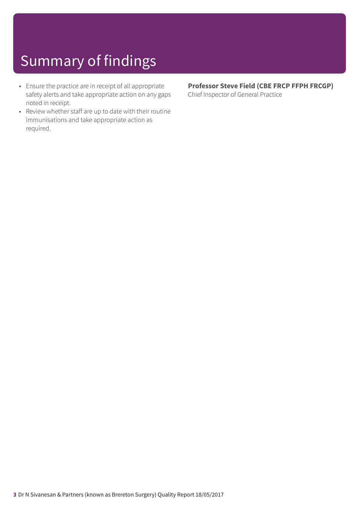# Summary of findings

- Ensure the practice are in receipt of all appropriate safety alerts and take appropriate action on any gaps noted in receipt.
- Review whether staff are up to date with their routine immunisations and take appropriate action as required.

#### **Professor Steve Field (CBE FRCP FFPH FRCGP)** Chief Inspector of General Practice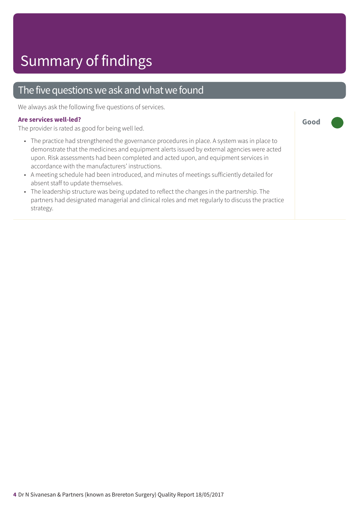### The five questions we ask and what we found

We always ask the following five questions of services.

#### **Are services well-led?**

The provider is rated as good for being well led.

• The practice had strengthened the governance procedures in place. A system was in place to demonstrate that the medicines and equipment alerts issued by external agencies were acted upon. Risk assessments had been completed and acted upon, and equipment services in accordance with the manufacturers' instructions.

**Good –––**

- A meeting schedule had been introduced, and minutes of meetings sufficiently detailed for absent staff to update themselves.
- The leadership structure was being updated to reflect the changes in the partnership. The partners had designated managerial and clinical roles and met regularly to discuss the practice strategy.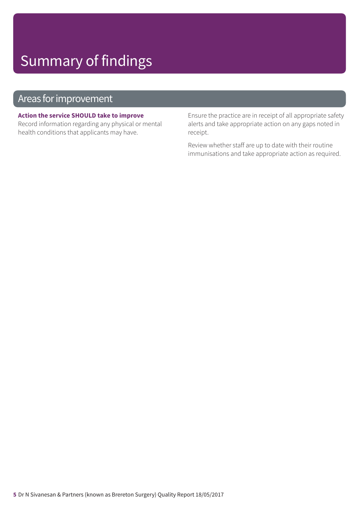## Summary of findings

### Areas for improvement

#### **Action the service SHOULD take to improve**

Record information regarding any physical or mental health conditions that applicants may have.

Ensure the practice are in receipt of all appropriate safety alerts and take appropriate action on any gaps noted in receipt.

Review whether staff are up to date with their routine immunisations and take appropriate action as required.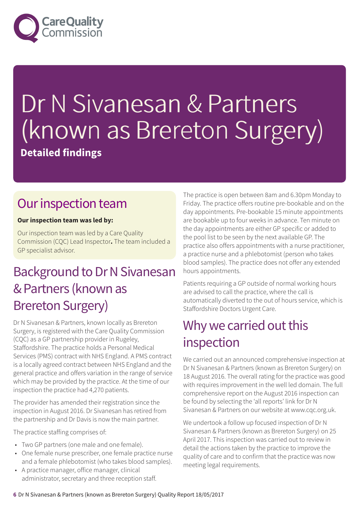

# Dr N Sivanesan & Partners (known as Brereton Surgery)

**Detailed findings**

### Our inspection team

#### **Our inspection team was led by:**

Our inspection team was led by a Care Quality Commission (CQC) Lead Inspector**.** The team included a GP specialist advisor.

### Background to Dr N Sivanesan &Partners (known as Brereton Surgery)

Dr N Sivanesan & Partners, known locally as Brereton Surgery, is registered with the Care Quality Commission (CQC) as a GP partnership provider in Rugeley, Staffordshire. The practice holds a Personal Medical Services (PMS) contract with NHS England. A PMS contract is a locally agreed contract between NHS England and the general practice and offers variation in the range of service which may be provided by the practice. At the time of our inspection the practice had 4,270 patients.

The provider has amended their registration since the inspection in August 2016. Dr Sivanesan has retired from the partnership and Dr Davis is now the main partner.

The practice staffing comprises of:

- Two GP partners (one male and one female).
- One female nurse prescriber, one female practice nurse and a female phlebotomist (who takes blood samples).
- A practice manager, office manager, clinical administrator, secretary and three reception staff.

The practice is open between 8am and 6.30pm Monday to Friday. The practice offers routine pre-bookable and on the day appointments. Pre-bookable 15 minute appointments are bookable up to four weeks in advance. Ten minute on the day appointments are either GP specific or added to the pool list to be seen by the next available GP. The practice also offers appointments with a nurse practitioner, a practice nurse and a phlebotomist (person who takes blood samples). The practice does not offer any extended hours appointments.

Patients requiring a GP outside of normal working hours are advised to call the practice, where the call is automatically diverted to the out of hours service, which is Staffordshire Doctors Urgent Care.

### Why we carried out this inspection

We carried out an announced comprehensive inspection at Dr N Sivanesan & Partners (known as Brereton Surgery) on 18 August 2016. The overall rating for the practice was good with requires improvement in the well led domain. The full comprehensive report on the August 2016 inspection can be found by selecting the 'all reports' link for Dr N Sivanesan & Partners on our website at www.cqc.org.uk.

We undertook a follow up focused inspection of Dr N Sivanesan & Partners (known as Brereton Surgery) on 25 April 2017. This inspection was carried out to review in detail the actions taken by the practice to improve the quality of care and to confirm that the practice was now meeting legal requirements.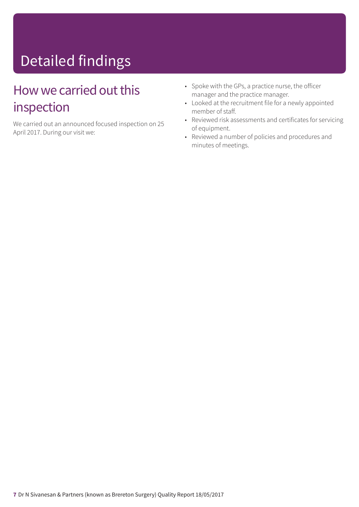# Detailed findings

### How we carried out this inspection

We carried out an announced focused inspection on 25 April 2017. During our visit we:

- Spoke with the GPs, a practice nurse, the officer manager and the practice manager.
- Looked at the recruitment file for a newly appointed member of staff.
- Reviewed risk assessments and certificates for servicing of equipment.
- Reviewed a number of policies and procedures and minutes of meetings.